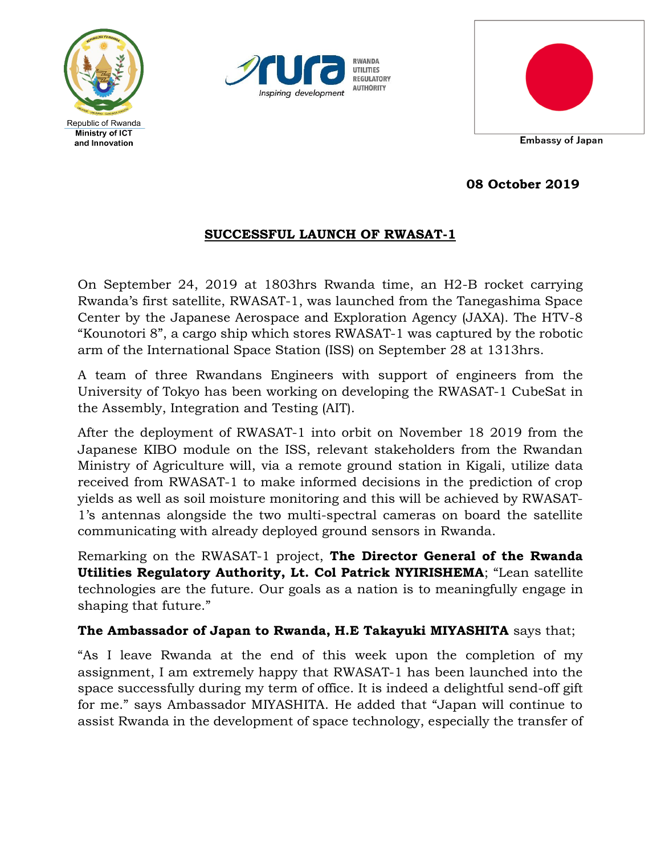





**08 October 2019**

## **SUCCESSFUL LAUNCH OF RWASAT-1**

On September 24, 2019 at 1803hrs Rwanda time, an H2-B rocket carrying Rwanda's first satellite, RWASAT-1, was launched from the Tanegashima Space Center by the Japanese Aerospace and Exploration Agency (JAXA). The HTV-8 "Kounotori 8", a cargo ship which stores RWASAT-1 was captured by the robotic arm of the International Space Station (ISS) on September 28 at 1313hrs.

A team of three Rwandans Engineers with support of engineers from the University of Tokyo has been working on developing the RWASAT-1 CubeSat in the Assembly, Integration and Testing (AIT).

After the deployment of RWASAT-1 into orbit on November 18 2019 from the Japanese KIBO module on the ISS, relevant stakeholders from the Rwandan Ministry of Agriculture will, via a remote ground station in Kigali, utilize data received from RWASAT-1 to make informed decisions in the prediction of crop yields as well as soil moisture monitoring and this will be achieved by RWASAT-1's antennas alongside the two multi-spectral cameras on board the satellite communicating with already deployed ground sensors in Rwanda.

Remarking on the RWASAT-1 project, **The Director General of the Rwanda Utilities Regulatory Authority, Lt. Col Patrick NYIRISHEMA**; "Lean satellite technologies are the future. Our goals as a nation is to meaningfully engage in shaping that future."

## **The Ambassador of Japan to Rwanda, H.E Takayuki MIYASHITA** says that;

"As I leave Rwanda at the end of this week upon the completion of my assignment, I am extremely happy that RWASAT-1 has been launched into the space successfully during my term of office. It is indeed a delightful send-off gift for me." says Ambassador MIYASHITA. He added that "Japan will continue to assist Rwanda in the development of space technology, especially the transfer of